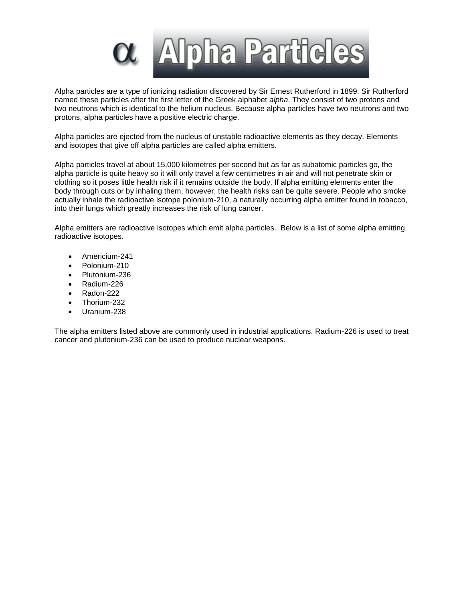

Alpha particles are a type of ionizing radiation discovered by Sir Ernest Rutherford in 1899. Sir Rutherford named these particles after the first letter of the Greek alphabet *alpha*. They consist of two protons and two neutrons which is identical to the helium nucleus. Because alpha particles have two neutrons and two protons, alpha particles have a positive electric charge.

Alpha particles are ejected from the nucleus of unstable radioactive elements as they decay. Elements and isotopes that give off alpha particles are called alpha emitters.

Alpha particles travel at about 15,000 kilometres per second but as far as subatomic particles go, the alpha particle is quite heavy so it will only travel a few centimetres in air and will not penetrate skin or clothing so it poses little health risk if it remains outside the body. If alpha emitting elements enter the body through cuts or by inhaling them, however, the health risks can be quite severe. People who smoke actually inhale the radioactive isotope polonium-210, a naturally occurring alpha emitter found in tobacco, into their lungs which greatly increases the risk of lung cancer.

Alpha emitters are radioactive isotopes which emit alpha particles. Below is a list of some alpha emitting radioactive isotopes.

- Americium-241
- Polonium-210
- Plutonium-236
- Radium-226
- Radon-222
- Thorium-232
- Uranium-238

The alpha emitters listed above are commonly used in industrial applications. Radium-226 is used to treat cancer and plutonium-236 can be used to produce nuclear weapons.